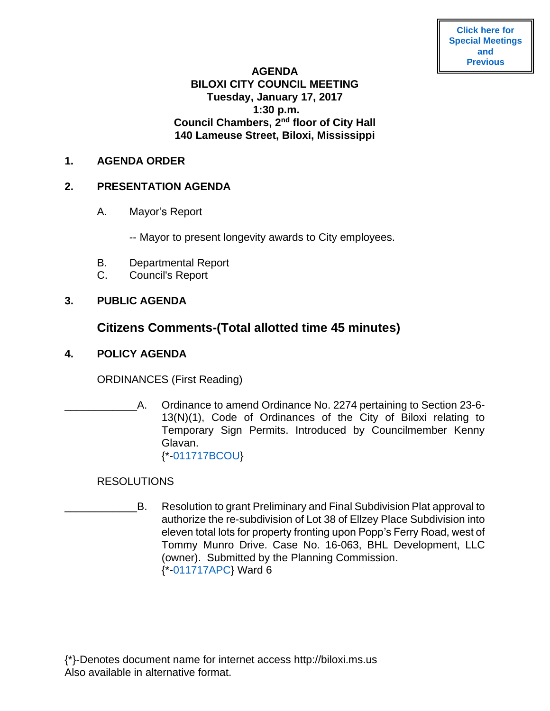**[Agendas](https://www.biloxi.ms.us/category/agendas-city-council/)**

#### **AGENDA**

# **BILOXI CITY COUNCIL MEETING Tuesday, January 17, 2017 1:30 p.m. Council Chambers, 2nd floor of City Hall 140 Lameuse Street, Biloxi, Mississippi**

#### **1. AGENDA ORDER**

#### **2. PRESENTATION AGENDA**

- A. Mayor's Report
	- -- Mayor to present longevity awards to City employees.
- B. Departmental Report
- C. Council's Report

# **3. PUBLIC AGENDA**

# **Citizens Comments-(Total allotted time 45 minutes)**

## **4. POLICY AGENDA**

ORDINANCES (First Reading)

A. Ordinance to amend Ordinance No. 2274 pertaining to Section 23-6-13(N)(1), Code of Ordinances of the City of Biloxi relating to Temporary Sign Permits. Introduced by Councilmember Kenny Glavan. {\*[-011717BCOU}](https://www.biloxi.ms.us/agendas/citycouncil/2017/011717/011717bcou.pdf)

### **RESOLUTIONS**

\_\_\_\_\_\_\_\_\_\_\_\_B. Resolution to grant Preliminary and Final Subdivision Plat approval to authorize the re-subdivision of Lot 38 of Ellzey Place Subdivision into eleven total lots for property fronting upon Popp's Ferry Road, west of Tommy Munro Drive. Case No. 16-063, BHL Development, LLC (owner). Submitted by the Planning Commission. {\*[-011717APC}](https://www.biloxi.ms.us/agendas/citycouncil/2017/011717/011717apc.pdf) Ward 6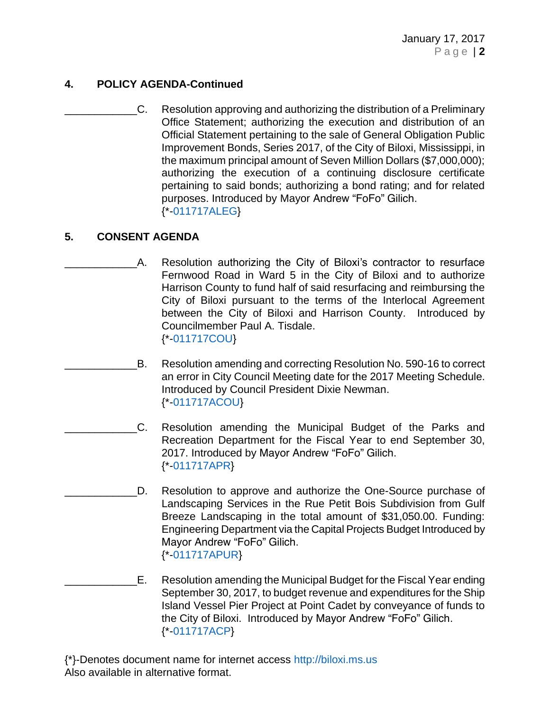# **4. POLICY AGENDA-Continued**

\_\_\_\_\_\_\_\_\_\_\_\_C. Resolution approving and authorizing the distribution of a Preliminary Office Statement; authorizing the execution and distribution of an Official Statement pertaining to the sale of General Obligation Public Improvement Bonds, Series 2017, of the City of Biloxi, Mississippi, in the maximum principal amount of Seven Million Dollars (\$7,000,000); authorizing the execution of a continuing disclosure certificate pertaining to said bonds; authorizing a bond rating; and for related purposes. Introduced by Mayor Andrew "FoFo" Gilich. {\*[-011717ALEG}](https://www.biloxi.ms.us/agendas/citycouncil/2017/011717/011717aleg.pdf)

# **5. CONSENT AGENDA**

- A. Resolution authorizing the City of Biloxi's contractor to resurface Fernwood Road in Ward 5 in the City of Biloxi and to authorize Harrison County to fund half of said resurfacing and reimbursing the City of Biloxi pursuant to the terms of the Interlocal Agreement between the City of Biloxi and Harrison County. Introduced by Councilmember Paul A. Tisdale. {\*[-011717COU}](https://www.biloxi.ms.us/agendas/citycouncil/2017/011717/011717cou.pdf)
	- B. Resolution amending and correcting Resolution No. 590-16 to correct an error in City Council Meeting date for the 2017 Meeting Schedule. Introduced by Council President Dixie Newman. {\*[-011717ACOU}](https://www.biloxi.ms.us/agendas/citycouncil/2017/011717/011717acou.pdf)
- \_\_\_\_\_\_\_\_\_\_\_\_C. Resolution amending the Municipal Budget of the Parks and Recreation Department for the Fiscal Year to end September 30, 2017. Introduced by Mayor Andrew "FoFo" Gilich. {\*[-011717APR}](https://www.biloxi.ms.us/agendas/citycouncil/2017/011717/011717apr.pdf)
- D. Resolution to approve and authorize the One-Source purchase of Landscaping Services in the Rue Petit Bois Subdivision from Gulf Breeze Landscaping in the total amount of \$31,050.00. Funding: Engineering Department via the Capital Projects Budget Introduced by Mayor Andrew "FoFo" Gilich. {\*[-011717APUR}](https://www.biloxi.ms.us/agendas/citycouncil/2017/011717/011717apur.pdf)
- \_\_\_\_\_\_\_\_\_\_\_\_E. Resolution amending the Municipal Budget for the Fiscal Year ending September 30, 2017, to budget revenue and expenditures for the Ship Island Vessel Pier Project at Point Cadet by conveyance of funds to the City of Biloxi. Introduced by Mayor Andrew "FoFo" Gilich. {\*[-011717ACP}](https://www.biloxi.ms.us/agendas/citycouncil/2017/011717/011717acp.pdf)
- {\*}-Denotes document name for internet access [http://biloxi.ms.us](http://biloxi.ms.us/) Also available in alternative format.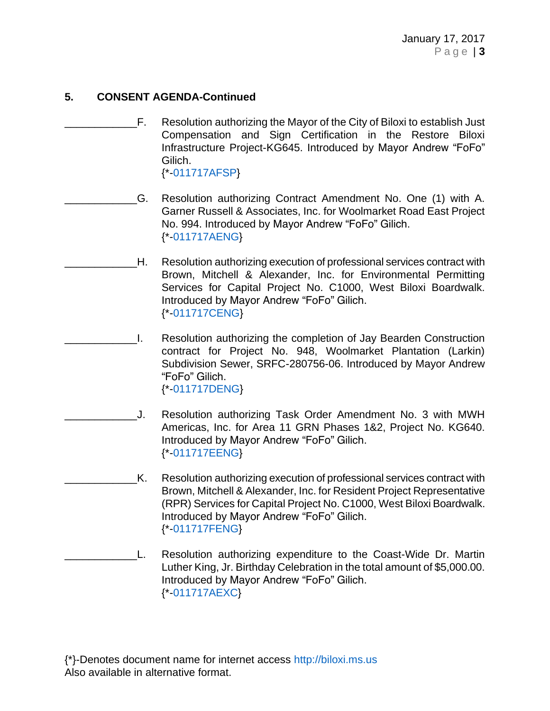# **5. CONSENT AGENDA-Continued**

- \_\_\_\_\_\_\_\_\_\_\_\_F. Resolution authorizing the Mayor of the City of Biloxi to establish Just Compensation and Sign Certification in the Restore Biloxi Infrastructure Project-KG645. Introduced by Mayor Andrew "FoFo" Gilich. {\*[-011717AFSP}](https://www.biloxi.ms.us/agendas/citycouncil/2017/011717/011717afsp.pdf)
	- \_\_\_\_\_\_\_\_\_\_\_\_G. Resolution authorizing Contract Amendment No. One (1) with A. Garner Russell & Associates, Inc. for Woolmarket Road East Project No. 994. Introduced by Mayor Andrew "FoFo" Gilich. {\*[-011717AENG}](https://www.biloxi.ms.us/agendas/citycouncil/2017/011717/011717aeng.pdf)
		- H. Resolution authorizing execution of professional services contract with Brown, Mitchell & Alexander, Inc. for Environmental Permitting Services for Capital Project No. C1000, West Biloxi Boardwalk. Introduced by Mayor Andrew "FoFo" Gilich. {\*[-011717CENG}](https://www.biloxi.ms.us/agendas/citycouncil/2017/011717/011717ceng.pdf)
- \_\_\_\_\_\_\_\_\_\_\_\_I. Resolution authorizing the completion of Jay Bearden Construction contract for Project No. 948, Woolmarket Plantation (Larkin) Subdivision Sewer, SRFC-280756-06. Introduced by Mayor Andrew "FoFo" Gilich. {\*[-011717DENG}](https://www.biloxi.ms.us/agendas/citycouncil/2017/011717/011717deng.pdf)
- \_\_\_\_\_\_\_\_\_\_\_\_J. Resolution authorizing Task Order Amendment No. 3 with MWH Americas, Inc. for Area 11 GRN Phases 1&2, Project No. KG640. Introduced by Mayor Andrew "FoFo" Gilich. {\*[-011717EENG}](https://www.biloxi.ms.us/agendas/citycouncil/2017/011717/011717eeng.pdf)
- \_\_\_\_\_\_\_\_\_\_\_\_K. Resolution authorizing execution of professional services contract with Brown, Mitchell & Alexander, Inc. for Resident Project Representative (RPR) Services for Capital Project No. C1000, West Biloxi Boardwalk. Introduced by Mayor Andrew "FoFo" Gilich. {\*[-011717FENG}](https://www.biloxi.ms.us/agendas/citycouncil/2017/011717/011717feng.pdf)
- L. Resolution authorizing expenditure to the Coast-Wide Dr. Martin Luther King, Jr. Birthday Celebration in the total amount of \$5,000.00. Introduced by Mayor Andrew "FoFo" Gilich. {\*[-011717AEXC}](https://www.biloxi.ms.us/agendas/citycouncil/2017/011717/011717aexc.pdf)